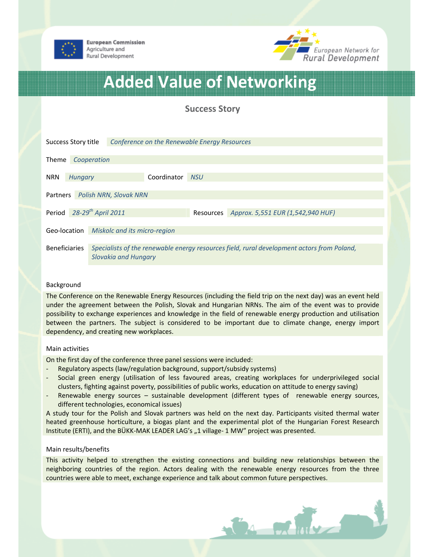



# Added Value of Networking

## Success Story

|                                           | Success Story title | Conference on the Renewable Energy Resources                                                                       |  |            |                                             |  |
|-------------------------------------------|---------------------|--------------------------------------------------------------------------------------------------------------------|--|------------|---------------------------------------------|--|
| Theme<br>Cooperation                      |                     |                                                                                                                    |  |            |                                             |  |
| <b>NRN</b><br><b>Hungary</b>              |                     | Coordinator                                                                                                        |  | <b>NSU</b> |                                             |  |
| <b>Polish NRN, Slovak NRN</b><br>Partners |                     |                                                                                                                    |  |            |                                             |  |
| Period                                    |                     | 28-29 <sup>th</sup> April 2011                                                                                     |  |            | Resources Approx. 5,551 EUR (1,542,940 HUF) |  |
| Geo-location                              |                     | Miskolc and its micro-region                                                                                       |  |            |                                             |  |
| Beneficiaries                             |                     | Specialists of the renewable energy resources field, rural development actors from Poland,<br>Slovakia and Hungary |  |            |                                             |  |

#### Background

The Conference on the Renewable Energy Resources (including the field trip on the next day) was an event held under the agreement between the Polish, Slovak and Hungarian NRNs. The aim of the event was to provide possibility to exchange experiences and knowledge in the field of renewable energy production and utilisation between the partners. The subject is considered to be important due to climate change, energy import dependency, and creating new workplaces.

#### Main activities

On the first day of the conference three panel sessions were included:

- Regulatory aspects (law/regulation background, support/subsidy systems)
- Social green energy (utilisation of less favoured areas, creating workplaces for underprivileged social clusters, fighting against poverty, possibilities of public works, education on attitude to energy saving)
- Renewable energy sources sustainable development (different types of renewable energy sources, different technologies, economical issues)

A study tour for the Polish and Slovak partners was held on the next day. Participants visited thermal water heated greenhouse horticulture, a biogas plant and the experimental plot of the Hungarian Forest Research Institute (ERTI), and the BÜKK-MAK LEADER LAG's "1 village- 1 MW" project was presented.

#### Main results/benefits

This activity helped to strengthen the existing connections and building new relationships between the neighboring countries of the region. Actors dealing with the renewable energy resources from the three countries were able to meet, exchange experience and talk about common future perspectives.

Ba Father